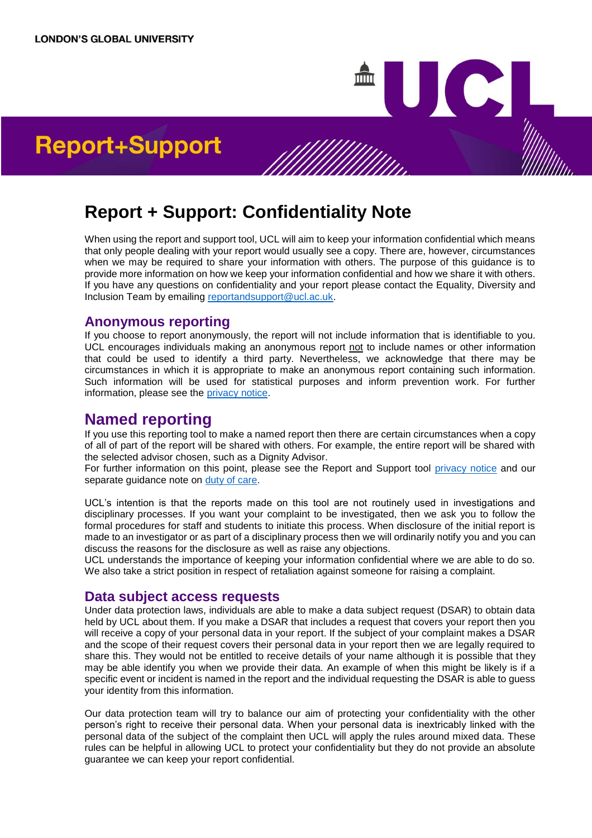# **Report + Support: Confidentiality Note**

When using the report and support tool, UCL will aim to keep your information confidential which means that only people dealing with your report would usually see a copy. There are, however, circumstances when we may be required to share your information with others. The purpose of this guidance is to provide more information on how we keep your information confidential and how we share it with others. If you have any questions on confidentiality and your report please contact the Equality, Diversity and Inclusion Team by emailing [reportandsupport@ucl.ac.uk.](mailto:reportandsupport@ucl.ac.uk)

Where a report is report is received by UCL through the Report and Support Tool, UCL will ordinarily only carry out an investigation or make a report of the complex  $\mathcal{L}$  third party with  $\mathcal{L}$ However, there are certain circumstances when  $U_{\rm C}$  may need to investigate or make an external report of  $\eta_{\rm C}$ even if  $\mathbf{e}$  and a most consent. Details of the most is not below. This is not below. This list is not below. ort+Support and the actions the specific circumstances of the specific circumstances of the specific circumstance

#### **Anonymous reporting**

If you choose to report anonymously, the report will not include information that is identifiable to you. UCL encourages individuals making an anonymous report not to include names or other information that could be used to identify a third party. Nevertheless, we acknowledge that there may be circumstances in which it is appropriate to make an anonymous report containing such information. Such information will be used for statistical purposes and inform prevention work. For further information, please see the [privacy notice.](https://report-support.ucl.ac.uk/support/privacy-notice)

# **Named reporting**

If you use this reporting tool to make a named report then there are certain circumstances when a copy of all of part of the report will be shared with others. For example, the entire report will be shared with the selected advisor chosen, such as a Dignity Advisor.

For further information on this point, please see the Report and Support tool [privacy notice](https://report-support.ucl.ac.uk/support/privacy-notice) and our separate guidance note on [duty of care.](https://www.ucl.ac.uk/human-resources/policies/2018/dec/report-support-managing-allegations-escalation-criteria-guidance-note)

UCL's intention is that the reports made on this tool are not routinely used in investigations and disciplinary processes. If you want your complaint to be investigated, then we ask you to follow the formal procedures for staff and students to initiate this process. When disclosure of the initial report is made to an investigator or as part of a disciplinary process then we will ordinarily notify you and you can discuss the reasons for the disclosure as well as raise any objections.

UCL understands the importance of keeping your information confidential where we are able to do so. We also take a strict position in respect of retaliation against someone for raising a complaint.

#### **Data subject access requests**

Under data protection laws, individuals are able to make a data subject request (DSAR) to obtain data held by UCL about them. If you make a DSAR that includes a request that covers your report then you will receive a copy of your personal data in your report. If the subject of your complaint makes a DSAR and the scope of their request covers their personal data in your report then we are legally required to share this. They would not be entitled to receive details of your name although it is possible that they may be able identify you when we provide their data. An example of when this might be likely is if a specific event or incident is named in the report and the individual requesting the DSAR is able to guess your identity from this information.

Our data protection team will try to balance our aim of protecting your confidentiality with the other person's right to receive their personal data. When your personal data is inextricably linked with the personal data of the subject of the complaint then UCL will apply the rules around mixed data. These rules can be helpful in allowing UCL to protect your confidentiality but they do not provide an absolute guarantee we can keep your report confidential.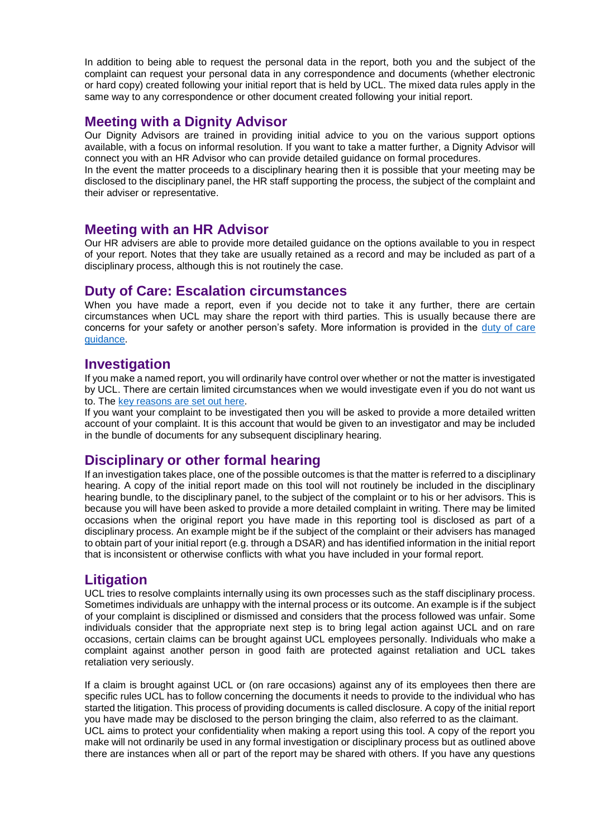In addition to being able to request the personal data in the report, both you and the subject of the complaint can request your personal data in any correspondence and documents (whether electronic or hard copy) created following your initial report that is held by UCL. The mixed data rules apply in the same way to any correspondence or other document created following your initial report.

### **Meeting with a Dignity Advisor**

Our Dignity Advisors are trained in providing initial advice to you on the various support options available, with a focus on informal resolution. If you want to take a matter further, a Dignity Advisor will connect you with an HR Advisor who can provide detailed guidance on formal procedures.

In the event the matter proceeds to a disciplinary hearing then it is possible that your meeting may be disclosed to the disciplinary panel, the HR staff supporting the process, the subject of the complaint and their adviser or representative.

#### **Meeting with an HR Advisor**

Our HR advisers are able to provide more detailed guidance on the options available to you in respect of your report. Notes that they take are usually retained as a record and may be included as part of a disciplinary process, although this is not routinely the case.

#### **Duty of Care: Escalation circumstances**

When you have made a report, even if you decide not to take it any further, there are certain circumstances when UCL may share the report with third parties. This is usually because there are concerns for your safety or another person's safety. More information is provided in the [duty of care](https://www.ucl.ac.uk/human-resources/policies/2018/dec/report-support-managing-allegations-escalation-criteria-guidance-note)  [guidance.](https://www.ucl.ac.uk/human-resources/policies/2018/dec/report-support-managing-allegations-escalation-criteria-guidance-note)

#### **Investigation**

If you make a named report, you will ordinarily have control over whether or not the matter is investigated by UCL. There are certain limited circumstances when we would investigate even if you do not want us to. The [key reasons are set out here.](https://www.ucl.ac.uk/human-resources/policies/2018/dec/report-support-managing-allegations-escalation-criteria-guidance-note)

If you want your complaint to be investigated then you will be asked to provide a more detailed written account of your complaint. It is this account that would be given to an investigator and may be included in the bundle of documents for any subsequent disciplinary hearing.

## **Disciplinary or other formal hearing**

If an investigation takes place, one of the possible outcomes is that the matter is referred to a disciplinary hearing. A copy of the initial report made on this tool will not routinely be included in the disciplinary hearing bundle, to the disciplinary panel, to the subject of the complaint or to his or her advisors. This is because you will have been asked to provide a more detailed complaint in writing. There may be limited occasions when the original report you have made in this reporting tool is disclosed as part of a disciplinary process. An example might be if the subject of the complaint or their advisers has managed to obtain part of your initial report (e.g. through a DSAR) and has identified information in the initial report that is inconsistent or otherwise conflicts with what you have included in your formal report.

## **Litigation**

UCL tries to resolve complaints internally using its own processes such as the staff disciplinary process. Sometimes individuals are unhappy with the internal process or its outcome. An example is if the subject of your complaint is disciplined or dismissed and considers that the process followed was unfair. Some individuals consider that the appropriate next step is to bring legal action against UCL and on rare occasions, certain claims can be brought against UCL employees personally. Individuals who make a complaint against another person in good faith are protected against retaliation and UCL takes retaliation very seriously.

If a claim is brought against UCL or (on rare occasions) against any of its employees then there are specific rules UCL has to follow concerning the documents it needs to provide to the individual who has started the litigation. This process of providing documents is called disclosure. A copy of the initial report you have made may be disclosed to the person bringing the claim, also referred to as the claimant. UCL aims to protect your confidentiality when making a report using this tool. A copy of the report you make will not ordinarily be used in any formal investigation or disciplinary process but as outlined above there are instances when all or part of the report may be shared with others. If you have any questions